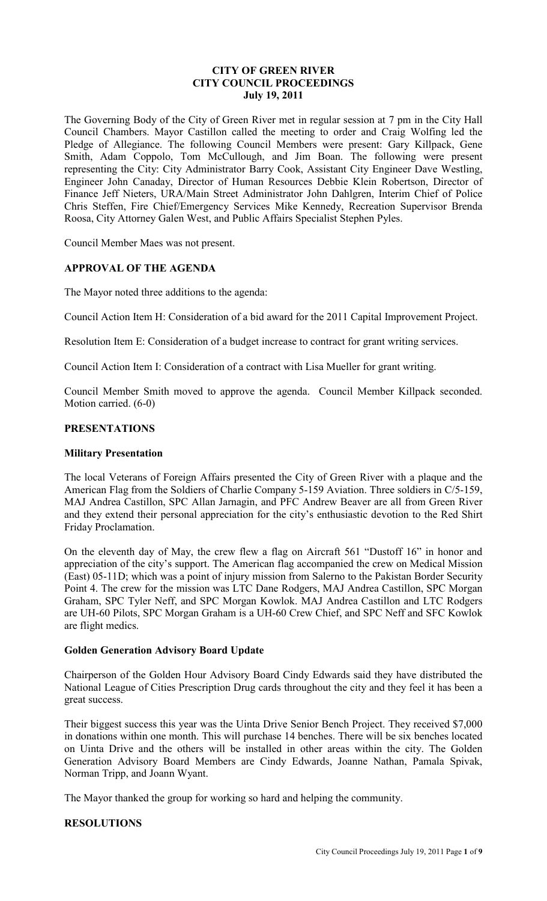### **CITY OF GREEN RIVER CITY COUNCIL PROCEEDINGS July 19, 2011**

The Governing Body of the City of Green River met in regular session at 7 pm in the City Hall Council Chambers. Mayor Castillon called the meeting to order and Craig Wolfing led the Pledge of Allegiance. The following Council Members were present: Gary Killpack, Gene Smith, Adam Coppolo, Tom McCullough, and Jim Boan. The following were present representing the City: City Administrator Barry Cook, Assistant City Engineer Dave Westling, Engineer John Canaday, Director of Human Resources Debbie Klein Robertson, Director of Finance Jeff Nieters, URA/Main Street Administrator John Dahlgren, Interim Chief of Police Chris Steffen, Fire Chief/Emergency Services Mike Kennedy, Recreation Supervisor Brenda Roosa, City Attorney Galen West, and Public Affairs Specialist Stephen Pyles.

Council Member Maes was not present.

## **APPROVAL OF THE AGENDA**

The Mayor noted three additions to the agenda:

Council Action Item H: Consideration of a bid award for the 2011 Capital Improvement Project.

Resolution Item E: Consideration of a budget increase to contract for grant writing services.

Council Action Item I: Consideration of a contract with Lisa Mueller for grant writing.

Council Member Smith moved to approve the agenda. Council Member Killpack seconded. Motion carried. (6-0)

### **PRESENTATIONS**

#### **Military Presentation**

The local Veterans of Foreign Affairs presented the City of Green River with a plaque and the American Flag from the Soldiers of Charlie Company 5-159 Aviation. Three soldiers in C/5-159, MAJ Andrea Castillon, SPC Allan Jarnagin, and PFC Andrew Beaver are all from Green River and they extend their personal appreciation for the city's enthusiastic devotion to the Red Shirt Friday Proclamation.

On the eleventh day of May, the crew flew a flag on Aircraft 561 "Dustoff 16" in honor and appreciation of the city's support. The American flag accompanied the crew on Medical Mission (East) 05-11D; which was a point of injury mission from Salerno to the Pakistan Border Security Point 4. The crew for the mission was LTC Dane Rodgers, MAJ Andrea Castillon, SPC Morgan Graham, SPC Tyler Neff, and SPC Morgan Kowlok. MAJ Andrea Castillon and LTC Rodgers are UH-60 Pilots, SPC Morgan Graham is a UH-60 Crew Chief, and SPC Neff and SFC Kowlok are flight medics.

### **Golden Generation Advisory Board Update**

Chairperson of the Golden Hour Advisory Board Cindy Edwards said they have distributed the National League of Cities Prescription Drug cards throughout the city and they feel it has been a great success.

Their biggest success this year was the Uinta Drive Senior Bench Project. They received \$7,000 in donations within one month. This will purchase 14 benches. There will be six benches located on Uinta Drive and the others will be installed in other areas within the city. The Golden Generation Advisory Board Members are Cindy Edwards, Joanne Nathan, Pamala Spivak, Norman Tripp, and Joann Wyant.

The Mayor thanked the group for working so hard and helping the community.

### **RESOLUTIONS**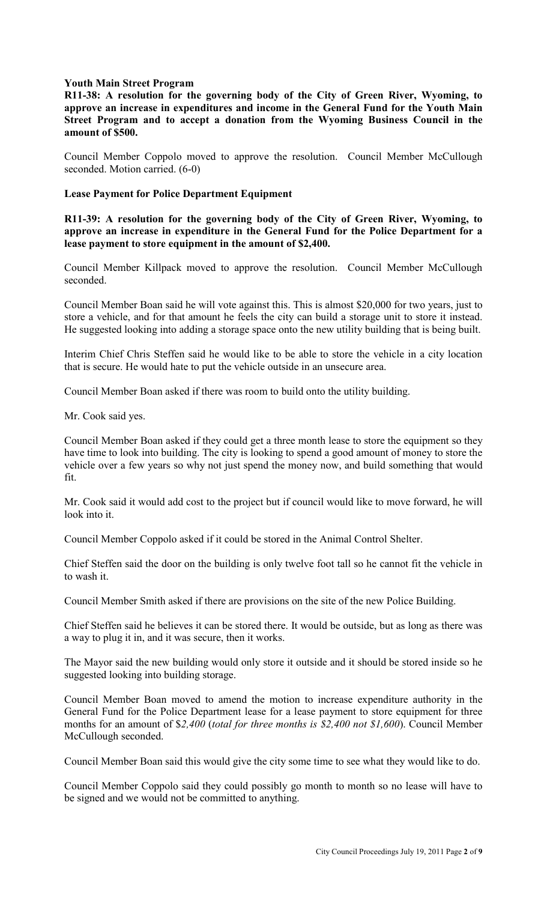### **Youth Main Street Program**

**R11-38: A resolution for the governing body of the City of Green River, Wyoming, to approve an increase in expenditures and income in the General Fund for the Youth Main Street Program and to accept a donation from the Wyoming Business Council in the amount of \$500.** 

Council Member Coppolo moved to approve the resolution. Council Member McCullough seconded. Motion carried. (6-0)

#### **Lease Payment for Police Department Equipment**

**R11-39: A resolution for the governing body of the City of Green River, Wyoming, to approve an increase in expenditure in the General Fund for the Police Department for a lease payment to store equipment in the amount of \$2,400.**

Council Member Killpack moved to approve the resolution. Council Member McCullough seconded.

Council Member Boan said he will vote against this. This is almost \$20,000 for two years, just to store a vehicle, and for that amount he feels the city can build a storage unit to store it instead. He suggested looking into adding a storage space onto the new utility building that is being built.

Interim Chief Chris Steffen said he would like to be able to store the vehicle in a city location that is secure. He would hate to put the vehicle outside in an unsecure area.

Council Member Boan asked if there was room to build onto the utility building.

Mr. Cook said yes.

Council Member Boan asked if they could get a three month lease to store the equipment so they have time to look into building. The city is looking to spend a good amount of money to store the vehicle over a few years so why not just spend the money now, and build something that would fit.

Mr. Cook said it would add cost to the project but if council would like to move forward, he will look into it.

Council Member Coppolo asked if it could be stored in the Animal Control Shelter.

Chief Steffen said the door on the building is only twelve foot tall so he cannot fit the vehicle in to wash it.

Council Member Smith asked if there are provisions on the site of the new Police Building.

Chief Steffen said he believes it can be stored there. It would be outside, but as long as there was a way to plug it in, and it was secure, then it works.

The Mayor said the new building would only store it outside and it should be stored inside so he suggested looking into building storage.

Council Member Boan moved to amend the motion to increase expenditure authority in the General Fund for the Police Department lease for a lease payment to store equipment for three months for an amount of \$*2,400* (*total for three months is \$2,400 not \$1,600*). Council Member McCullough seconded.

Council Member Boan said this would give the city some time to see what they would like to do.

Council Member Coppolo said they could possibly go month to month so no lease will have to be signed and we would not be committed to anything.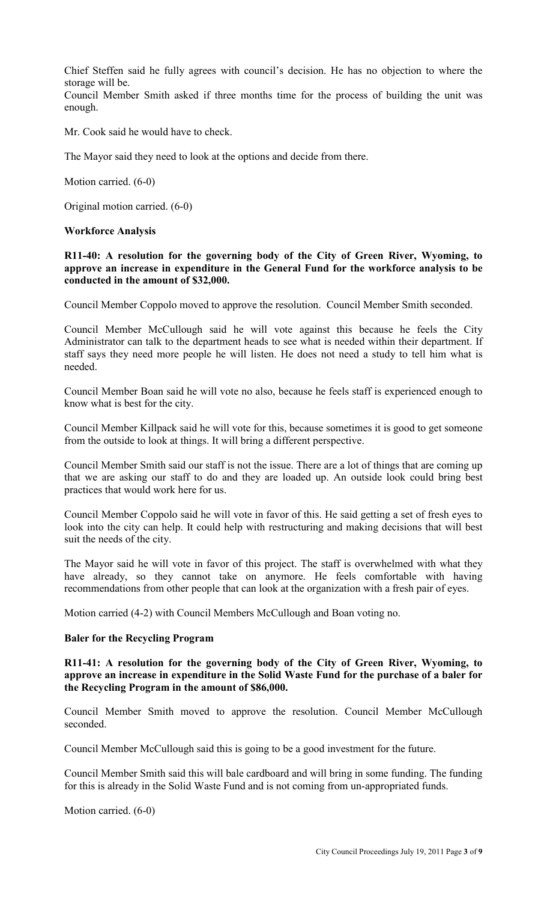Chief Steffen said he fully agrees with council's decision. He has no objection to where the storage will be.

Council Member Smith asked if three months time for the process of building the unit was enough.

Mr. Cook said he would have to check.

The Mayor said they need to look at the options and decide from there.

Motion carried. (6-0)

Original motion carried. (6-0)

#### **Workforce Analysis**

**R11-40: A resolution for the governing body of the City of Green River, Wyoming, to approve an increase in expenditure in the General Fund for the workforce analysis to be conducted in the amount of \$32,000.** 

Council Member Coppolo moved to approve the resolution. Council Member Smith seconded.

Council Member McCullough said he will vote against this because he feels the City Administrator can talk to the department heads to see what is needed within their department. If staff says they need more people he will listen. He does not need a study to tell him what is needed.

Council Member Boan said he will vote no also, because he feels staff is experienced enough to know what is best for the city.

Council Member Killpack said he will vote for this, because sometimes it is good to get someone from the outside to look at things. It will bring a different perspective.

Council Member Smith said our staff is not the issue. There are a lot of things that are coming up that we are asking our staff to do and they are loaded up. An outside look could bring best practices that would work here for us.

Council Member Coppolo said he will vote in favor of this. He said getting a set of fresh eyes to look into the city can help. It could help with restructuring and making decisions that will best suit the needs of the city.

The Mayor said he will vote in favor of this project. The staff is overwhelmed with what they have already, so they cannot take on anymore. He feels comfortable with having recommendations from other people that can look at the organization with a fresh pair of eyes.

Motion carried (4-2) with Council Members McCullough and Boan voting no.

#### **Baler for the Recycling Program**

**R11-41: A resolution for the governing body of the City of Green River, Wyoming, to approve an increase in expenditure in the Solid Waste Fund for the purchase of a baler for the Recycling Program in the amount of \$86,000.** 

Council Member Smith moved to approve the resolution. Council Member McCullough seconded.

Council Member McCullough said this is going to be a good investment for the future.

Council Member Smith said this will bale cardboard and will bring in some funding. The funding for this is already in the Solid Waste Fund and is not coming from un-appropriated funds.

Motion carried. (6-0)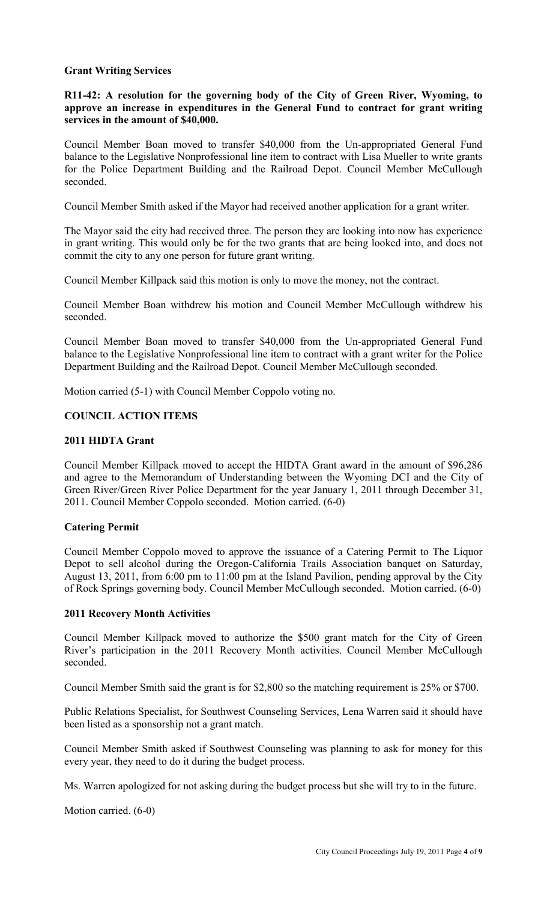### **Grant Writing Services**

### **R11-42: A resolution for the governing body of the City of Green River, Wyoming, to approve an increase in expenditures in the General Fund to contract for grant writing services in the amount of \$40,000.**

Council Member Boan moved to transfer \$40,000 from the Un-appropriated General Fund balance to the Legislative Nonprofessional line item to contract with Lisa Mueller to write grants for the Police Department Building and the Railroad Depot. Council Member McCullough seconded.

Council Member Smith asked if the Mayor had received another application for a grant writer.

The Mayor said the city had received three. The person they are looking into now has experience in grant writing. This would only be for the two grants that are being looked into, and does not commit the city to any one person for future grant writing.

Council Member Killpack said this motion is only to move the money, not the contract.

Council Member Boan withdrew his motion and Council Member McCullough withdrew his seconded.

Council Member Boan moved to transfer \$40,000 from the Un-appropriated General Fund balance to the Legislative Nonprofessional line item to contract with a grant writer for the Police Department Building and the Railroad Depot. Council Member McCullough seconded.

Motion carried (5-1) with Council Member Coppolo voting no.

## **COUNCIL ACTION ITEMS**

### **2011 HIDTA Grant**

Council Member Killpack moved to accept the HIDTA Grant award in the amount of \$96,286 and agree to the Memorandum of Understanding between the Wyoming DCI and the City of Green River/Green River Police Department for the year January 1, 2011 through December 31, 2011. Council Member Coppolo seconded. Motion carried. (6-0)

### **Catering Permit**

Council Member Coppolo moved to approve the issuance of a Catering Permit to The Liquor Depot to sell alcohol during the Oregon-California Trails Association banquet on Saturday, August 13, 2011, from 6:00 pm to 11:00 pm at the Island Pavilion, pending approval by the City of Rock Springs governing body. Council Member McCullough seconded. Motion carried. (6-0)

#### **2011 Recovery Month Activities**

Council Member Killpack moved to authorize the \$500 grant match for the City of Green River's participation in the 2011 Recovery Month activities. Council Member McCullough seconded.

Council Member Smith said the grant is for \$2,800 so the matching requirement is 25% or \$700.

Public Relations Specialist, for Southwest Counseling Services, Lena Warren said it should have been listed as a sponsorship not a grant match.

Council Member Smith asked if Southwest Counseling was planning to ask for money for this every year, they need to do it during the budget process.

Ms. Warren apologized for not asking during the budget process but she will try to in the future.

Motion carried. (6-0)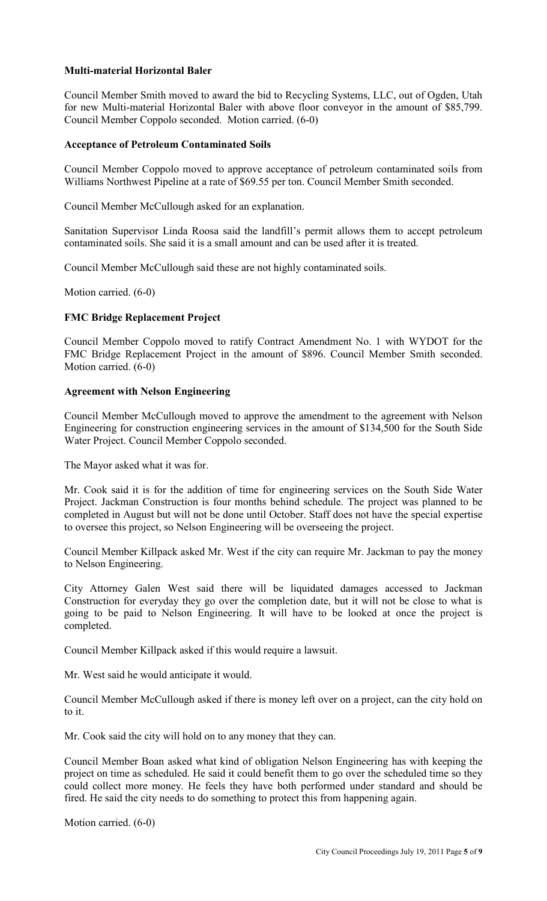## **Multi-material Horizontal Baler**

Council Member Smith moved to award the bid to Recycling Systems, LLC, out of Ogden, Utah for new Multi-material Horizontal Baler with above floor conveyor in the amount of \$85,799. Council Member Coppolo seconded. Motion carried. (6-0)

#### **Acceptance of Petroleum Contaminated Soils**

Council Member Coppolo moved to approve acceptance of petroleum contaminated soils from Williams Northwest Pipeline at a rate of \$69.55 per ton. Council Member Smith seconded.

Council Member McCullough asked for an explanation.

Sanitation Supervisor Linda Roosa said the landfill's permit allows them to accept petroleum contaminated soils. She said it is a small amount and can be used after it is treated.

Council Member McCullough said these are not highly contaminated soils.

Motion carried. (6-0)

### **FMC Bridge Replacement Project**

Council Member Coppolo moved to ratify Contract Amendment No. 1 with WYDOT for the FMC Bridge Replacement Project in the amount of \$896. Council Member Smith seconded. Motion carried. (6-0)

### **Agreement with Nelson Engineering**

Council Member McCullough moved to approve the amendment to the agreement with Nelson Engineering for construction engineering services in the amount of \$134,500 for the South Side Water Project. Council Member Coppolo seconded.

The Mayor asked what it was for.

Mr. Cook said it is for the addition of time for engineering services on the South Side Water Project. Jackman Construction is four months behind schedule. The project was planned to be completed in August but will not be done until October. Staff does not have the special expertise to oversee this project, so Nelson Engineering will be overseeing the project.

Council Member Killpack asked Mr. West if the city can require Mr. Jackman to pay the money to Nelson Engineering.

City Attorney Galen West said there will be liquidated damages accessed to Jackman Construction for everyday they go over the completion date, but it will not be close to what is going to be paid to Nelson Engineering. It will have to be looked at once the project is completed.

Council Member Killpack asked if this would require a lawsuit.

Mr. West said he would anticipate it would.

Council Member McCullough asked if there is money left over on a project, can the city hold on to it.

Mr. Cook said the city will hold on to any money that they can.

Council Member Boan asked what kind of obligation Nelson Engineering has with keeping the project on time as scheduled. He said it could benefit them to go over the scheduled time so they could collect more money. He feels they have both performed under standard and should be fired. He said the city needs to do something to protect this from happening again.

Motion carried. (6-0)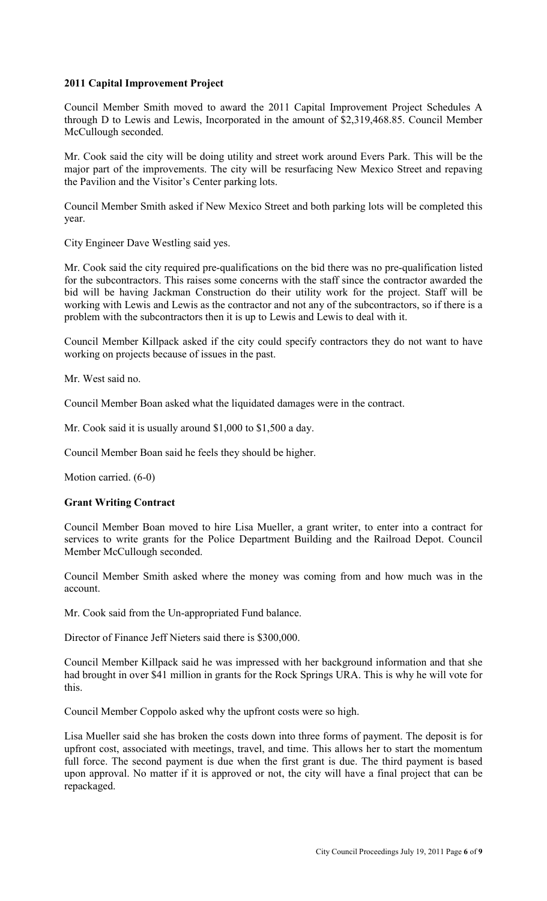## **2011 Capital Improvement Project**

Council Member Smith moved to award the 2011 Capital Improvement Project Schedules A through D to Lewis and Lewis, Incorporated in the amount of \$2,319,468.85. Council Member McCullough seconded.

Mr. Cook said the city will be doing utility and street work around Evers Park. This will be the major part of the improvements. The city will be resurfacing New Mexico Street and repaving the Pavilion and the Visitor's Center parking lots.

Council Member Smith asked if New Mexico Street and both parking lots will be completed this year.

City Engineer Dave Westling said yes.

Mr. Cook said the city required pre-qualifications on the bid there was no pre-qualification listed for the subcontractors. This raises some concerns with the staff since the contractor awarded the bid will be having Jackman Construction do their utility work for the project. Staff will be working with Lewis and Lewis as the contractor and not any of the subcontractors, so if there is a problem with the subcontractors then it is up to Lewis and Lewis to deal with it.

Council Member Killpack asked if the city could specify contractors they do not want to have working on projects because of issues in the past.

Mr. West said no.

Council Member Boan asked what the liquidated damages were in the contract.

Mr. Cook said it is usually around \$1,000 to \$1,500 a day.

Council Member Boan said he feels they should be higher.

Motion carried. (6-0)

## **Grant Writing Contract**

Council Member Boan moved to hire Lisa Mueller, a grant writer, to enter into a contract for services to write grants for the Police Department Building and the Railroad Depot. Council Member McCullough seconded.

Council Member Smith asked where the money was coming from and how much was in the account.

Mr. Cook said from the Un-appropriated Fund balance.

Director of Finance Jeff Nieters said there is \$300,000.

Council Member Killpack said he was impressed with her background information and that she had brought in over \$41 million in grants for the Rock Springs URA. This is why he will vote for this.

Council Member Coppolo asked why the upfront costs were so high.

Lisa Mueller said she has broken the costs down into three forms of payment. The deposit is for upfront cost, associated with meetings, travel, and time. This allows her to start the momentum full force. The second payment is due when the first grant is due. The third payment is based upon approval. No matter if it is approved or not, the city will have a final project that can be repackaged.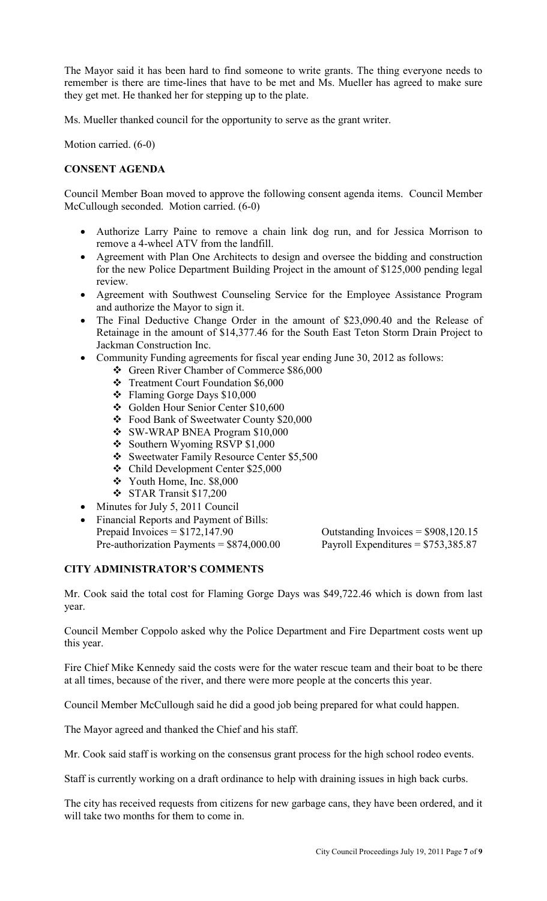The Mayor said it has been hard to find someone to write grants. The thing everyone needs to remember is there are time-lines that have to be met and Ms. Mueller has agreed to make sure they get met. He thanked her for stepping up to the plate.

Ms. Mueller thanked council for the opportunity to serve as the grant writer.

Motion carried. (6-0)

# **CONSENT AGENDA**

Council Member Boan moved to approve the following consent agenda items. Council Member McCullough seconded. Motion carried. (6-0)

- Authorize Larry Paine to remove a chain link dog run, and for Jessica Morrison to remove a 4-wheel ATV from the landfill.
- Agreement with Plan One Architects to design and oversee the bidding and construction for the new Police Department Building Project in the amount of \$125,000 pending legal review.
- Agreement with Southwest Counseling Service for the Employee Assistance Program and authorize the Mayor to sign it.
- The Final Deductive Change Order in the amount of \$23,090.40 and the Release of Retainage in the amount of \$14,377.46 for the South East Teton Storm Drain Project to Jackman Construction Inc.
- Community Funding agreements for fiscal year ending June 30, 2012 as follows:
	- Green River Chamber of Commerce \$86,000
	- Treatment Court Foundation \$6,000
	- Flaming Gorge Days \$10,000
	- Golden Hour Senior Center \$10,600
	- Food Bank of Sweetwater County \$20,000
	- SW-WRAP BNEA Program \$10,000
	- Southern Wyoming RSVP \$1,000
	- Sweetwater Family Resource Center \$5,500
	- Child Development Center \$25,000
	- $\div$  Youth Home, Inc. \$8,000
	- STAR Transit \$17,200
- Minutes for July 5, 2011 Council
- Financial Reports and Payment of Bills: Prepaid Invoices =  $$172,147.90$  Outstanding Invoices =  $$908,120.15$ Pre-authorization Payments =  $$874,000.00$  Payroll Expenditures =  $$753,385.87$

# **CITY ADMINISTRATOR'S COMMENTS**

Mr. Cook said the total cost for Flaming Gorge Days was \$49,722.46 which is down from last year.

Council Member Coppolo asked why the Police Department and Fire Department costs went up this year.

Fire Chief Mike Kennedy said the costs were for the water rescue team and their boat to be there at all times, because of the river, and there were more people at the concerts this year.

Council Member McCullough said he did a good job being prepared for what could happen.

The Mayor agreed and thanked the Chief and his staff.

Mr. Cook said staff is working on the consensus grant process for the high school rodeo events.

Staff is currently working on a draft ordinance to help with draining issues in high back curbs.

The city has received requests from citizens for new garbage cans, they have been ordered, and it will take two months for them to come in.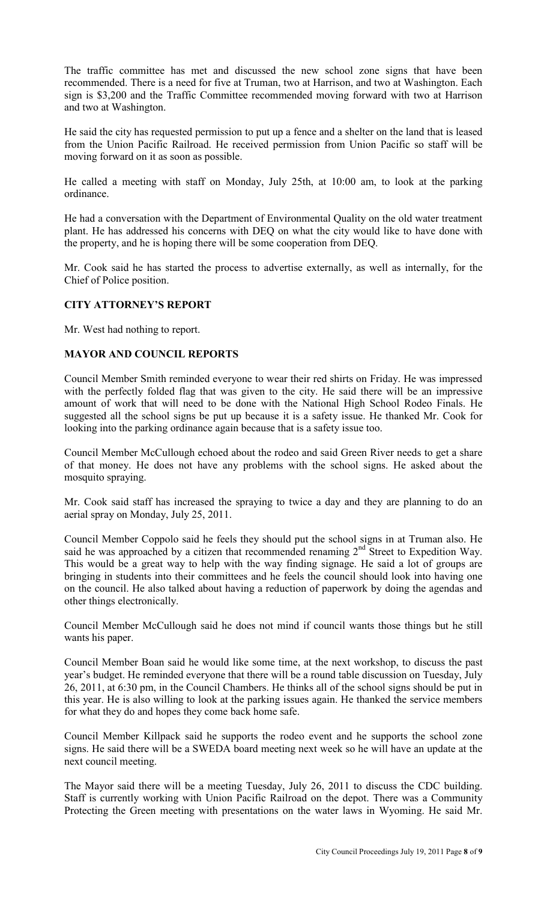The traffic committee has met and discussed the new school zone signs that have been recommended. There is a need for five at Truman, two at Harrison, and two at Washington. Each sign is \$3,200 and the Traffic Committee recommended moving forward with two at Harrison and two at Washington.

He said the city has requested permission to put up a fence and a shelter on the land that is leased from the Union Pacific Railroad. He received permission from Union Pacific so staff will be moving forward on it as soon as possible.

He called a meeting with staff on Monday, July 25th, at 10:00 am, to look at the parking ordinance.

He had a conversation with the Department of Environmental Quality on the old water treatment plant. He has addressed his concerns with DEQ on what the city would like to have done with the property, and he is hoping there will be some cooperation from DEQ.

Mr. Cook said he has started the process to advertise externally, as well as internally, for the Chief of Police position.

### **CITY ATTORNEY'S REPORT**

Mr. West had nothing to report.

### **MAYOR AND COUNCIL REPORTS**

Council Member Smith reminded everyone to wear their red shirts on Friday. He was impressed with the perfectly folded flag that was given to the city. He said there will be an impressive amount of work that will need to be done with the National High School Rodeo Finals. He suggested all the school signs be put up because it is a safety issue. He thanked Mr. Cook for looking into the parking ordinance again because that is a safety issue too.

Council Member McCullough echoed about the rodeo and said Green River needs to get a share of that money. He does not have any problems with the school signs. He asked about the mosquito spraying.

Mr. Cook said staff has increased the spraying to twice a day and they are planning to do an aerial spray on Monday, July 25, 2011.

Council Member Coppolo said he feels they should put the school signs in at Truman also. He said he was approached by a citizen that recommended renaming  $2<sup>nd</sup>$  Street to Expedition Way. This would be a great way to help with the way finding signage. He said a lot of groups are bringing in students into their committees and he feels the council should look into having one on the council. He also talked about having a reduction of paperwork by doing the agendas and other things electronically.

Council Member McCullough said he does not mind if council wants those things but he still wants his paper.

Council Member Boan said he would like some time, at the next workshop, to discuss the past year's budget. He reminded everyone that there will be a round table discussion on Tuesday, July 26, 2011, at 6:30 pm, in the Council Chambers. He thinks all of the school signs should be put in this year. He is also willing to look at the parking issues again. He thanked the service members for what they do and hopes they come back home safe.

Council Member Killpack said he supports the rodeo event and he supports the school zone signs. He said there will be a SWEDA board meeting next week so he will have an update at the next council meeting.

The Mayor said there will be a meeting Tuesday, July 26, 2011 to discuss the CDC building. Staff is currently working with Union Pacific Railroad on the depot. There was a Community Protecting the Green meeting with presentations on the water laws in Wyoming. He said Mr.